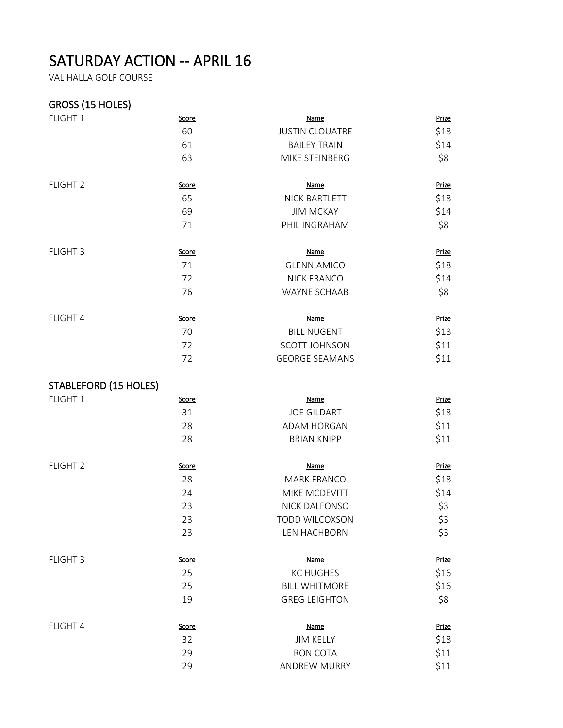## SATURDAY ACTION -- APRIL 16

VAL HALLA GOLF COURSE

## GROSS (15 HOLES)

| FLIGHT 1                     | Score        | Name                   | Prize        |
|------------------------------|--------------|------------------------|--------------|
|                              | 60           | <b>JUSTIN CLOUATRE</b> | \$18         |
|                              | 61           | <b>BAILEY TRAIN</b>    | \$14         |
|                              | 63           | MIKE STEINBERG         | \$8          |
| FLIGHT <sub>2</sub>          | Score        | <b>Name</b>            | <b>Prize</b> |
|                              | 65           | <b>NICK BARTLETT</b>   | \$18         |
|                              | 69           | <b>JIM MCKAY</b>       | \$14         |
|                              | 71           | PHIL INGRAHAM          | \$8          |
| FLIGHT 3                     | Score        | <b>Name</b>            | Prize        |
|                              | 71           | <b>GLENN AMICO</b>     | \$18         |
|                              | 72           | <b>NICK FRANCO</b>     | \$14         |
|                              | 76           | <b>WAYNE SCHAAB</b>    | \$8          |
| FLIGHT 4                     | Score        | <b>Name</b>            | Prize        |
|                              | 70           | <b>BILL NUGENT</b>     | \$18         |
|                              | 72           | <b>SCOTT JOHNSON</b>   | \$11         |
|                              | 72           | <b>GEORGE SEAMANS</b>  | \$11         |
| <b>STABLEFORD (15 HOLES)</b> |              |                        |              |
| FLIGHT 1                     | Score        | <b>Name</b>            | Prize        |
|                              | 31           | <b>JOE GILDART</b>     | \$18         |
|                              | 28           | <b>ADAM HORGAN</b>     | \$11         |
|                              | 28           | <b>BRIAN KNIPP</b>     | \$11         |
| FLIGHT <sub>2</sub>          | <b>Score</b> | <b>Name</b>            | Prize        |
|                              | 28           | <b>MARK FRANCO</b>     | \$18         |
|                              | 24           | MIKE MCDEVITT          | \$14         |
|                              | 23           | NICK DALFONSO          | \$3          |
|                              | 23           | <b>TODD WILCOXSON</b>  | \$3          |
|                              | 23           | LEN HACHBORN           | \$3          |
| FLIGHT 3                     | <b>Score</b> | <b>Name</b>            | Prize        |
|                              | 25           | <b>KC HUGHES</b>       | \$16         |
|                              | 25           | <b>BILL WHITMORE</b>   | \$16         |
|                              | 19           | <b>GREG LEIGHTON</b>   | \$8          |
| FLIGHT 4                     | <b>Score</b> | <b>Name</b>            | Prize        |
|                              | 32           | <b>JIM KELLY</b>       | \$18         |
|                              | 29           | RON COTA               | \$11         |
|                              | 29           | ANDREW MURRY           | \$11         |